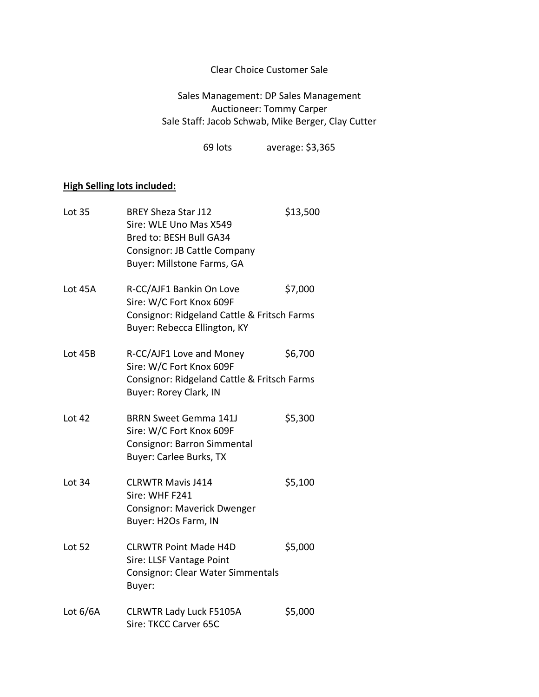## Clear Choice Customer Sale

Sales Management: DP Sales Management Auctioneer: Tommy Carper Sale Staff: Jacob Schwab, Mike Berger, Clay Cutter

69 lots average: \$3,365

## **High Selling lots included:**

| <b>Lot 35</b> | <b>BREY Sheza Star J12</b><br>Sire: WLE Uno Mas X549<br>Bred to: BESH Bull GA34<br>Consignor: JB Cattle Company<br>Buyer: Millstone Farms, GA | \$13,500 |
|---------------|-----------------------------------------------------------------------------------------------------------------------------------------------|----------|
| Lot 45A       | R-CC/AJF1 Bankin On Love<br>Sire: W/C Fort Knox 609F<br>Consignor: Ridgeland Cattle & Fritsch Farms<br>Buyer: Rebecca Ellington, KY           | \$7,000  |
| Lot 45B       | R-CC/AJF1 Love and Money<br>Sire: W/C Fort Knox 609F<br>Consignor: Ridgeland Cattle & Fritsch Farms<br><b>Buyer: Rorey Clark, IN</b>          | \$6,700  |
| <b>Lot 42</b> | <b>BRRN Sweet Gemma 141J</b><br>Sire: W/C Fort Knox 609F<br>Consignor: Barron Simmental<br><b>Buyer: Carlee Burks, TX</b>                     | \$5,300  |
| Lot 34        | <b>CLRWTR Mavis J414</b><br>Sire: WHF F241<br>Consignor: Maverick Dwenger<br>Buyer: H2Os Farm, IN                                             | \$5,100  |
| Lot 52        | <b>CLRWTR Point Made H4D</b><br>Sire: LLSF Vantage Point<br>Consignor: Clear Water Simmentals<br>Buyer:                                       | \$5,000  |
| Lot $6/6A$    | CLRWTR Lady Luck F5105A<br>Sire: TKCC Carver 65C                                                                                              | \$5,000  |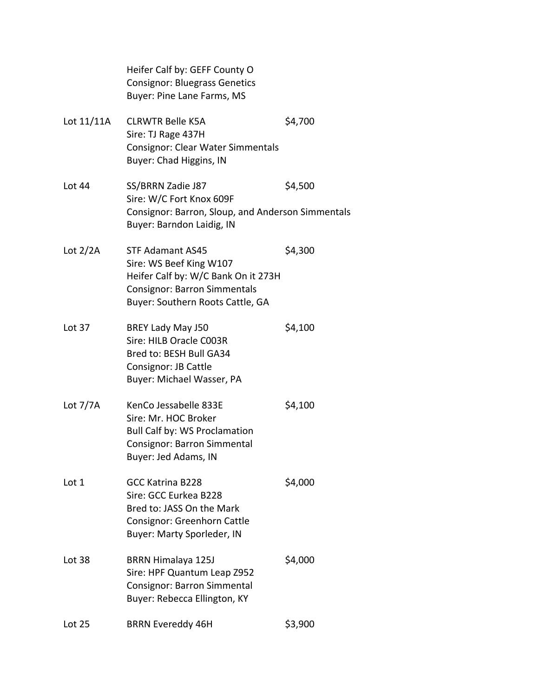|              | Heifer Calf by: GEFF County O<br><b>Consignor: Bluegrass Genetics</b><br>Buyer: Pine Lane Farms, MS                                                                  |         |
|--------------|----------------------------------------------------------------------------------------------------------------------------------------------------------------------|---------|
| Lot $11/11A$ | <b>CLRWTR Belle K5A</b><br>Sire: TJ Rage 437H<br><b>Consignor: Clear Water Simmentals</b><br>Buyer: Chad Higgins, IN                                                 | \$4,700 |
| Lot 44       | SS/BRRN Zadie J87<br>Sire: W/C Fort Knox 609F<br>Consignor: Barron, Sloup, and Anderson Simmentals<br>Buyer: Barndon Laidig, IN                                      | \$4,500 |
| Lot $2/2A$   | <b>STF Adamant AS45</b><br>Sire: WS Beef King W107<br>Heifer Calf by: W/C Bank On it 273H<br><b>Consignor: Barron Simmentals</b><br>Buyer: Southern Roots Cattle, GA | \$4,300 |
| Lot 37       | <b>BREY Lady May J50</b><br>Sire: HILB Oracle C003R<br>Bred to: BESH Bull GA34<br>Consignor: JB Cattle<br>Buyer: Michael Wasser, PA                                  | \$4,100 |
| Lot $7/7A$   | KenCo Jessabelle 833E<br>Sire: Mr. HOC Broker<br><b>Bull Calf by: WS Proclamation</b><br>Consignor: Barron Simmental<br>Buyer: Jed Adams, IN                         | \$4,100 |
| Lot 1        | <b>GCC Katrina B228</b><br>Sire: GCC Eurkea B228<br>Bred to: JASS On the Mark<br>Consignor: Greenhorn Cattle<br><b>Buyer: Marty Sporleder, IN</b>                    | \$4,000 |
| Lot 38       | BRRN Himalaya 125J<br>Sire: HPF Quantum Leap Z952<br>Consignor: Barron Simmental<br>Buyer: Rebecca Ellington, KY                                                     | \$4,000 |
| Lot 25       | <b>BRRN Evereddy 46H</b>                                                                                                                                             | \$3,900 |